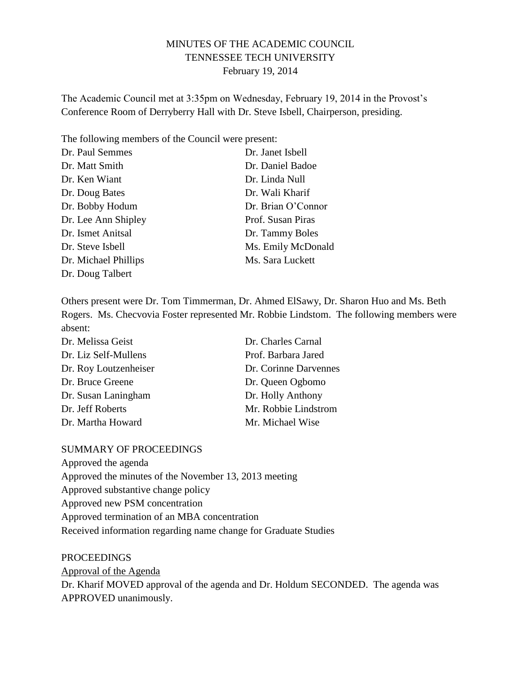# MINUTES OF THE ACADEMIC COUNCIL TENNESSEE TECH UNIVERSITY February 19, 2014

The Academic Council met at 3:35pm on Wednesday, February 19, 2014 in the Provost's Conference Room of Derryberry Hall with Dr. Steve Isbell, Chairperson, presiding.

The following members of the Council were present:

| Dr. Paul Semmes      | Dr. Janet Isbell   |
|----------------------|--------------------|
| Dr. Matt Smith       | Dr. Daniel Badoe   |
| Dr. Ken Wiant        | Dr. Linda Null     |
| Dr. Doug Bates       | Dr. Wali Kharif    |
| Dr. Bobby Hodum      | Dr. Brian O'Connor |
| Dr. Lee Ann Shipley  | Prof. Susan Piras  |
| Dr. Ismet Anitsal    | Dr. Tammy Boles    |
| Dr. Steve Isbell     | Ms. Emily McDonald |
| Dr. Michael Phillips | Ms. Sara Luckett   |
| Dr. Doug Talbert     |                    |

Others present were Dr. Tom Timmerman, Dr. Ahmed ElSawy, Dr. Sharon Huo and Ms. Beth Rogers. Ms. Checvovia Foster represented Mr. Robbie Lindstom. The following members were absent:

| Dr. Melissa Geist     | Dr. Charles Carnal    |
|-----------------------|-----------------------|
| Dr. Liz Self-Mullens  | Prof. Barbara Jared   |
| Dr. Roy Loutzenheiser | Dr. Corinne Darvennes |
| Dr. Bruce Greene      | Dr. Queen Ogbomo      |
| Dr. Susan Laningham   | Dr. Holly Anthony     |
| Dr. Jeff Roberts      | Mr. Robbie Lindstrom  |
| Dr. Martha Howard     | Mr. Michael Wise      |

#### SUMMARY OF PROCEEDINGS

Approved the agenda

Approved the minutes of the November 13, 2013 meeting

Approved substantive change policy

Approved new PSM concentration

Approved termination of an MBA concentration

Received information regarding name change for Graduate Studies

PROCEEDINGS Approval of the Agenda Dr. Kharif MOVED approval of the agenda and Dr. Holdum SECONDED. The agenda was APPROVED unanimously.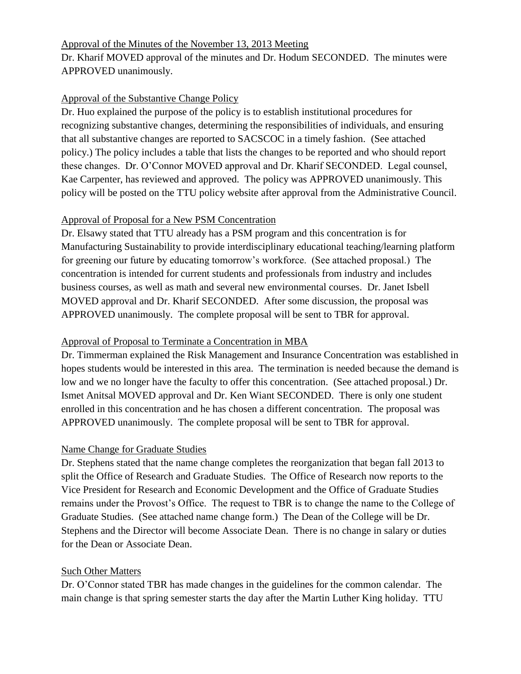### Approval of the Minutes of the November 13, 2013 Meeting

Dr. Kharif MOVED approval of the minutes and Dr. Hodum SECONDED. The minutes were APPROVED unanimously.

# Approval of the Substantive Change Policy

Dr. Huo explained the purpose of the policy is to establish institutional procedures for recognizing substantive changes, determining the responsibilities of individuals, and ensuring that all substantive changes are reported to SACSCOC in a timely fashion. (See attached policy.) The policy includes a table that lists the changes to be reported and who should report these changes. Dr. O'Connor MOVED approval and Dr. Kharif SECONDED. Legal counsel, Kae Carpenter, has reviewed and approved. The policy was APPROVED unanimously. This policy will be posted on the TTU policy website after approval from the Administrative Council.

### Approval of Proposal for a New PSM Concentration

Dr. Elsawy stated that TTU already has a PSM program and this concentration is for Manufacturing Sustainability to provide interdisciplinary educational teaching/learning platform for greening our future by educating tomorrow's workforce. (See attached proposal.) The concentration is intended for current students and professionals from industry and includes business courses, as well as math and several new environmental courses. Dr. Janet Isbell MOVED approval and Dr. Kharif SECONDED. After some discussion, the proposal was APPROVED unanimously. The complete proposal will be sent to TBR for approval.

# Approval of Proposal to Terminate a Concentration in MBA

Dr. Timmerman explained the Risk Management and Insurance Concentration was established in hopes students would be interested in this area. The termination is needed because the demand is low and we no longer have the faculty to offer this concentration. (See attached proposal.) Dr. Ismet Anitsal MOVED approval and Dr. Ken Wiant SECONDED. There is only one student enrolled in this concentration and he has chosen a different concentration. The proposal was APPROVED unanimously. The complete proposal will be sent to TBR for approval.

# Name Change for Graduate Studies

Dr. Stephens stated that the name change completes the reorganization that began fall 2013 to split the Office of Research and Graduate Studies. The Office of Research now reports to the Vice President for Research and Economic Development and the Office of Graduate Studies remains under the Provost's Office. The request to TBR is to change the name to the College of Graduate Studies. (See attached name change form.) The Dean of the College will be Dr. Stephens and the Director will become Associate Dean. There is no change in salary or duties for the Dean or Associate Dean.

# Such Other Matters

Dr. O'Connor stated TBR has made changes in the guidelines for the common calendar. The main change is that spring semester starts the day after the Martin Luther King holiday. TTU